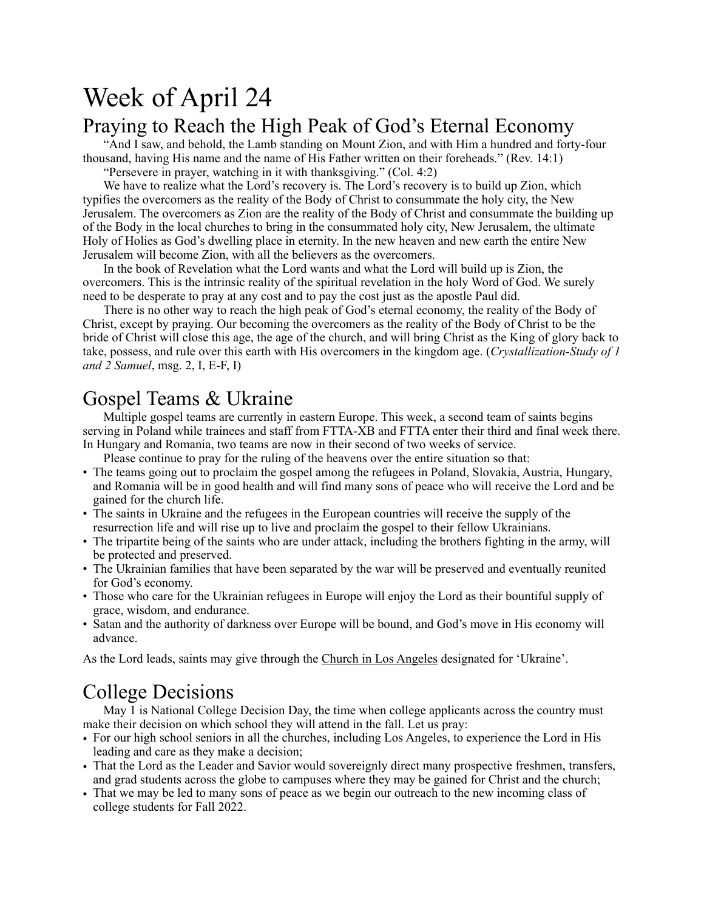# Week of April 24 Praying to Reach the High Peak of God's Eternal Economy

"And I saw, and behold, the Lamb standing on Mount Zion, and with Him a hundred and forty-four thousand, having His name and the name of His Father written on their foreheads." (Rev. 14:1)

"Persevere in prayer, watching in it with thanksgiving." (Col. 4:2)

We have to realize what the Lord's recovery is. The Lord's recovery is to build up Zion, which typifies the overcomers as the reality of the Body of Christ to consummate the holy city, the New Jerusalem. The overcomers as Zion are the reality of the Body of Christ and consummate the building up of the Body in the local churches to bring in the consummated holy city, New Jerusalem, the ultimate Holy of Holies as God's dwelling place in eternity. In the new heaven and new earth the entire New Jerusalem will become Zion, with all the believers as the overcomers.

In the book of Revelation what the Lord wants and what the Lord will build up is Zion, the overcomers. This is the intrinsic reality of the spiritual revelation in the holy Word of God. We surely need to be desperate to pray at any cost and to pay the cost just as the apostle Paul did.

There is no other way to reach the high peak of God's eternal economy, the reality of the Body of Christ, except by praying. Our becoming the overcomers as the reality of the Body of Christ to be the bride of Christ will close this age, the age of the church, and will bring Christ as the King of glory back to take, possess, and rule over this earth with His overcomers in the kingdom age. (*Crystallization-Study of 1 and 2 Samuel*, msg. 2, I, E-F, I)

### Gospel Teams & Ukraine

Multiple gospel teams are currently in eastern Europe. This week, a second team of saints begins serving in Poland while trainees and staff from FTTA-XB and FTTA enter their third and final week there. In Hungary and Romania, two teams are now in their second of two weeks of service.

Please continue to pray for the ruling of the heavens over the entire situation so that:

- The teams going out to proclaim the gospel among the refugees in Poland, Slovakia, Austria, Hungary, and Romania will be in good health and will find many sons of peace who will receive the Lord and be gained for the church life.
- The saints in Ukraine and the refugees in the European countries will receive the supply of the resurrection life and will rise up to live and proclaim the gospel to their fellow Ukrainians.
- The tripartite being of the saints who are under attack, including the brothers fighting in the army, will be protected and preserved.
- The Ukrainian families that have been separated by the war will be preserved and eventually reunited for God's economy.
- Those who care for the Ukrainian refugees in Europe will enjoy the Lord as their bountiful supply of grace, wisdom, and endurance.
- Satan and the authority of darkness over Europe will be bound, and God's move in His economy will advance.

As the Lord leads, saints may give through the [Church in Los Angeles](https://www.churchinlosangeles.org/members/offerings/) designated for 'Ukraine'.

### College Decisions

May 1 is National College Decision Day, the time when college applicants across the country must make their decision on which school they will attend in the fall. Let us pray:

- For our high school seniors in all the churches, including Los Angeles, to experience the Lord in His leading and care as they make a decision;
- That the Lord as the Leader and Savior would sovereignly direct many prospective freshmen, transfers, and grad students across the globe to campuses where they may be gained for Christ and the church;
- That we may be led to many sons of peace as we begin our outreach to the new incoming class of college students for Fall 2022.